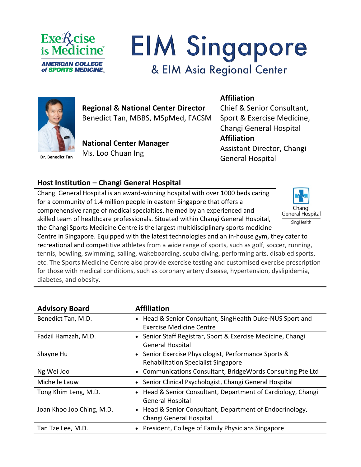

# **EIM Singapore** & EIM Asia Regional Center



**Regional & National Center Director**  Benedict Tan, MBBS, MSpMed, FACSM

**National Center Manager** Ms. Loo Chuan Ing

## **Affiliation**

Chief & Senior Consultant, Sport & Exercise Medicine, Changi General Hospital **Affiliation** Assistant Director, Changi General Hospital

### **Host Institution – Changi General Hospital**

Changi General Hospital is an award-winning hospital with over 1000 beds caring for a community of 1.4 million people in eastern Singapore that offers a comprehensive range of medical specialties, helmed by an experienced and skilled team of healthcare professionals. Situated within Changi General Hospital, the Changi Sports Medicine Centre is the largest multidisciplinary sports medicine



Centre in Singapore. Equipped with the latest technologies and an in-house gym, they cater to recreational and competitive athletes from a wide range of sports, such as golf, soccer, running, tennis, bowling, swimming, sailing, wakeboarding, scuba diving, performing arts, disabled sports, etc. The Sports Medicine Centre also provide exercise testing and customised exercise prescription for those with medical conditions, such as coronary artery disease, hypertension, dyslipidemia, diabetes, and obesity.

| <b>Advisory Board</b>     | <b>Affiliation</b>                                           |
|---------------------------|--------------------------------------------------------------|
| Benedict Tan, M.D.        | • Head & Senior Consultant, SingHealth Duke-NUS Sport and    |
|                           | <b>Exercise Medicine Centre</b>                              |
| Fadzil Hamzah, M.D.       | • Senior Staff Registrar, Sport & Exercise Medicine, Changi  |
|                           | <b>General Hospital</b>                                      |
| Shayne Hu                 | • Senior Exercise Physiologist, Performance Sports &         |
|                           | <b>Rehabilitation Specialist Singapore</b>                   |
| Ng Wei Joo                | Communications Consultant, BridgeWords Consulting Pte Ltd    |
| Michelle Lauw             | Senior Clinical Psychologist, Changi General Hospital        |
| Tong Khim Leng, M.D.      | • Head & Senior Consultant, Department of Cardiology, Changi |
|                           | <b>General Hospital</b>                                      |
| Joan Khoo Joo Ching, M.D. | Head & Senior Consultant, Department of Endocrinology,       |
|                           | Changi General Hospital                                      |
| Tan Tze Lee, M.D.         | President, College of Family Physicians Singapore            |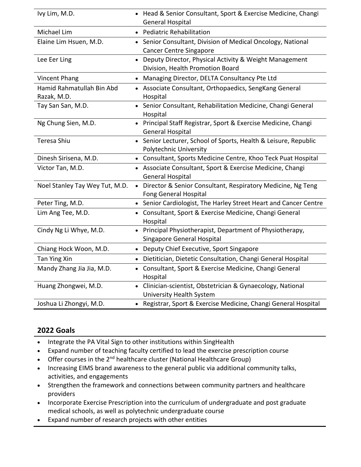| Ivy Lim, M.D.                  | • Head & Senior Consultant, Sport & Exercise Medicine, Changi                                 |
|--------------------------------|-----------------------------------------------------------------------------------------------|
|                                | General Hospital                                                                              |
| Michael Lim                    | • Pediatric Rehabilitation                                                                    |
| Elaine Lim Hsuen, M.D.         | • Senior Consultant, Division of Medical Oncology, National                                   |
|                                | <b>Cancer Centre Singapore</b>                                                                |
| Lee Eer Ling                   | • Deputy Director, Physical Activity & Weight Management                                      |
|                                | Division, Health Promotion Board                                                              |
| <b>Vincent Phang</b>           | • Managing Director, DELTA Consultancy Pte Ltd                                                |
| Hamid Rahmatullah Bin Abd      | • Associate Consultant, Orthopaedics, SengKang General                                        |
| Razak, M.D.                    | Hospital                                                                                      |
| Tay San San, M.D.              | • Senior Consultant, Rehabilitation Medicine, Changi General<br>Hospital                      |
| Ng Chung Sien, M.D.            | • Principal Staff Registrar, Sport & Exercise Medicine, Changi                                |
|                                | <b>General Hospital</b>                                                                       |
| Teresa Shiu                    | • Senior Lecturer, School of Sports, Health & Leisure, Republic                               |
|                                | Polytechnic University                                                                        |
| Dinesh Sirisena, M.D.          | Consultant, Sports Medicine Centre, Khoo Teck Puat Hospital<br>$\bullet$                      |
| Victor Tan, M.D.               | • Associate Consultant, Sport & Exercise Medicine, Changi                                     |
|                                | <b>General Hospital</b>                                                                       |
| Noel Stanley Tay Wey Tut, M.D. | • Director & Senior Consultant, Respiratory Medicine, Ng Teng<br><b>Fong General Hospital</b> |
| Peter Ting, M.D.               | • Senior Cardiologist, The Harley Street Heart and Cancer Centre                              |
| Lim Ang Tee, M.D.              | • Consultant, Sport & Exercise Medicine, Changi General<br>Hospital                           |
| Cindy Ng Li Whye, M.D.         | • Principal Physiotherapist, Department of Physiotherapy,<br>Singapore General Hospital       |
| Chiang Hock Woon, M.D.         | • Deputy Chief Executive, Sport Singapore                                                     |
| Tan Ying Xin                   | Dietitician, Dietetic Consultation, Changi General Hospital<br>$\bullet$                      |
| Mandy Zhang Jia Jia, M.D.      | • Consultant, Sport & Exercise Medicine, Changi General<br>Hospital                           |
| Huang Zhongwei, M.D.           | Clinician-scientist, Obstetrician & Gynaecology, National<br>University Health System         |
| Joshua Li Zhongyi, M.D.        | • Registrar, Sport & Exercise Medicine, Changi General Hospital                               |

#### **2022 Goals**

- Integrate the PA Vital Sign to other institutions within SingHealth
- Expand number of teaching faculty certified to lead the exercise prescription course
- Offer courses in the  $2^{nd}$  healthcare cluster (National Healthcare Group)
- Increasing EIMS brand awareness to the general public via additional community talks, activities, and engagements
- Strengthen the framework and connections between community partners and healthcare providers
- Incorporate Exercise Prescription into the curriculum of undergraduate and post graduate medical schools, as well as polytechnic undergraduate course
- Expand number of research projects with other entities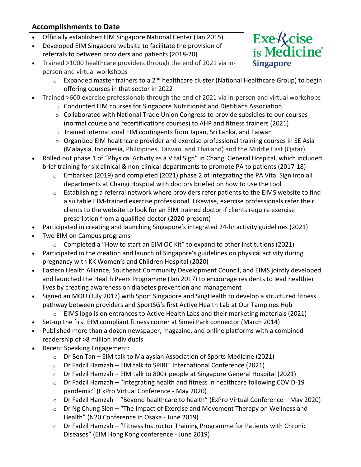### **Accomplishments to Date**

- Officially established EIM Singapore National Center (Jan 2015)
- Developed EIM Singapore website to facilitate the provision of
- referrals to between providers and patients (2018-20)
- Trained >1000 healthcare providers through the end of 2021 via inperson and virtual workshops



- $\circ$  Expanded master trainers to a 2<sup>nd</sup> healthcare cluster (National Healthcare Group) to begin offering courses in that sector in 2022
- Trained >600 exercise professionals through the end of 2021 via in-person and virtual workshops
	- o Conducted EIM courses for Singapore Nutritionist and Dietitians Association
	- $\circ$  Collaborated with National Trade Union Congress to provide subsidies to our courses (normal course and recertifications courses) to AHP and fitness trainers (2021)
	- o Trained international EIM contingents from Japan, Sri Lanka, and Taiwan
	- o Organized EIM healthcare provider and exercise professional training courses in SE Asia (Malaysia, Indonesia, Philippines, Taiwan, and Thailand) and the Middle East (Qatar)
- Rolled out phase 1 of "Physical Activity as a Vital Sign" in Changi General Hospital, which included brief training for six clinical & non-clinical departments to promote PA to patients (2017-18)
	- o Embarked (2019) and completed (2021) phase 2 of integrating the PA Vital Sign into all departments at Changi Hospital with doctors briefed on how to use the tool
	- o Establishing a referral network where providers refer patients to the EIMS website to find a suitable EIM-trained exercise professional. Likewise, exercise professionals refer their clients to the website to look for an EIM trained doctor if clients require exercise prescription from a qualified doctor (2020-present)
- Participated in creating and launching Singapore's integrated 24-hr activity guidelines (2021)
- Two EIM on Campus programs
	- $\circ$  Completed a "How to start an EIM OC Kit" to expand to other institutions (2021)
- Participated in the creation and launch of Singapore's guidelines on physical activity during pregnancy with KK Women's and Children Hospital (2020)
- Eastern Health Alliance, Southeast Community Development Council, and EIMS jointly developed and launched the Health Peers Programme (Jan 2017) to encourage residents to lead healthier lives by creating awareness on diabetes prevention and management
- Signed an MOU (July 2017) with Sport Singapore and SingHealth to develop a structured fitness pathway between providers and SportSG's first Active Health Lab at Our Tampines Hub
	- o EIMS logo is on entrances to Active Health Labs and their marketing materials (2021)
- Set-up the first EIM compliant fitness corner at Simei Park connector (March 2014)
- Published more than a dozen newspaper, magazine, and online platforms with a combined readership of >8 million individuals
- Recent Speaking Engagement:
	- o Dr Ben Tan EIM talk to Malaysian Association of Sports Medicine (2021)
	- o Dr Fadzil Hamzah EIM talk to SPIRIT International Conference (2021)
	- $\circ$  Dr Fadzil Hamzah EIM talk to 800+ people at Singapore General Hospital (2021)
	- o Dr Fadzil Hamzah "Integrating health and fitness in healthcare following COVID-19 pandemic" (ExPro Virtual Conference - May 2020)
	- o Dr Fadzil Hamzah "Beyond healthcare to health" (ExPro Virtual Conference May 2020)
	- Dr Ng Chung Sien "The Impact of Exercise and Movement Therapy on Wellness and Health" (N20 Conference in Osaka - June 2019)
	- o Dr Fadzil Hamzah "Fitness Instructor Training Programme for Patients with Chronic Diseases" (EIM Hong Kong conference - June 2019)